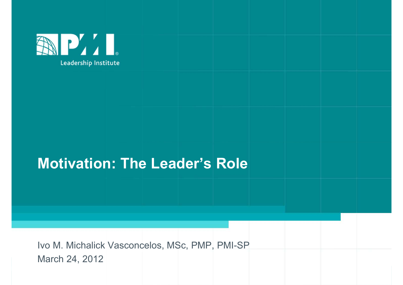

### Motivation: The Leader's Role

Motivation: The Leader's Role<br>Ivo M. Michalick Vasconcelos, MSc, PMP, PMI-SP<br>March 24, 2012 March 24, 2012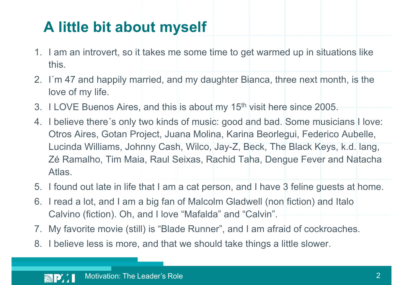### A little bit about myself

- **1. I am an introvert, so it takes me some time to get warmed up in situations like**<br>this.<br>2. I'm 47 and happily married, and my daughter Bianca, three next month, is the this.
- **2.** I´m 47 and happily married, and my daughter Bianca, three next month, is the love of my life.<br>
2. I´m 47 and happily married, and my daughter Bianca, three next month, is the love of my life. love of my life.
- 
- **3. I Lam an introvert, so it takes me some time to get warmed up in situations like this.**<br>2. I'm 47 and happily married, and my daughter Bianca, three next month, is the love of my life.<br>3. I LOVE Buenos Aires, and this **4. I believe there** is only takes me some time to get warmed up in situations like<br>this.<br>2. I'm 47 and happily married, and my daughter Bianca, three next month, is the<br>love of my life.<br>3. I LOVE Buenos Aires, and this i **A little bit about myself**<br>
I am an introvert, so it takes me some time to get warmed up in situations like<br>
this.<br>
I'm 47 and happily married, and my daughter Bianca, three next month, is the<br>
IUCOVE Buenos Aires, and th Lucinda Williams, Johnny Cash, Wilco, Jay-Z, Beck, The Black Keys, k.d. lang, I am an introvert, so it takes me some time to get warmed up in situations like<br>this.<br>I'm 47 and happily married, and my daughter Bianca, three next month, is the<br>love of my life.<br>I LOVE Buenos Aires, and this is about my Atlas. 1. I found out late in life that I am a cat person, and I have 3 feline (income).<br>
1. I LOVE Buenos Aires, and this is about my 15<sup>th</sup> visit here since 2005.<br>
1. I believe there's only two kinds of music: good and bad. Som 1. I m 47 and nappliy married, and my daughter Bianca, three next montn, is the<br>
1. I LOVE Buenos Aires, and this is about my 15<sup>th</sup> visit here since 2005.<br>
4. I believe there's only two kinds of music: good and bad. Some 3. TLOVE Buenos Aires, and this is about my 15<sup>th</sup> Visit here since 2005.<br>4. I believe there's only two kinds of music: good and bad. Some musicians I love:<br>0tros Aires, Gotan Project, Juana Molina, Karina Beorlegui, Feder 8. I believe there s only two kinds or music: good and bad. Some musicians How Otros Aires, Gotan Project, Juana Molina, Karina Beorlegui, Federico Aubelle<br>
Lucinda Williams, Johnny Cash, Wilco, Jay-Z, Beck, The Black Keys
- 
- Calvino (fiction). Oh, and I love "Mafalda" and "Calvin".
- 
-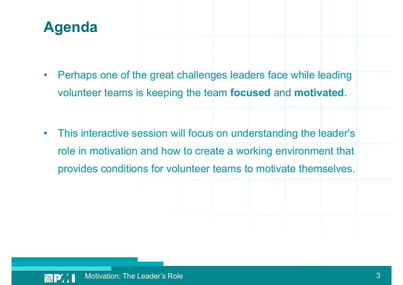### Agenda

- Perhaps one of the great challenges leaders face while leading volunteer teams is keeping the team **focused** and **motivated.**<br>• This interactive session will focus on understanding the leader's
- role in motivation and how to create a working environment that provides conditions for volunteer teams to motivate themselves.

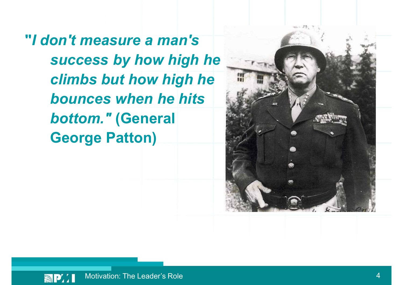"I don't measure a man's success by how high he climbs but how high he bounces when he hits bottom." (General George Patton)



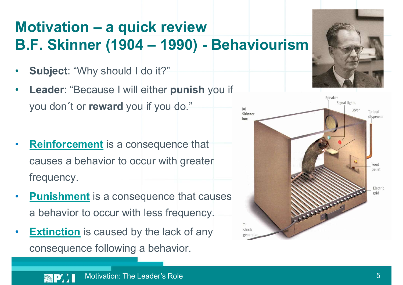## Motivation – a quick review<br>B.F. Skinner (1904 – 1990) - Behavid Motivation – a quick review<br>B.F. Skinner (1904 – 1990) - Behaviourism<br>• Subject: "Why should I do it?"

- Subject: "Why should I do it?"
- Leader: "Because I will either punish you if you don´t or reward you if you do."
- **Reinforcement** is a consequence that causes a behavior to occur with greater frequency.
- **Punishment** is a consequence that causes a behavior to occur with less frequency.
- **Extinction** is caused by the lack of any consequence following a behavior.



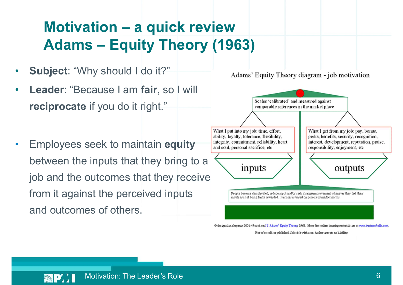## Motivation – a quick review<br>Adams – Equity Theory (1963) Motivation – a quick review<br>Adams – Equity Theory (1963)<br>bject: "Why should I do it?"<br>Adams' Equity Theory d

- Subject: "Why should I do it?"
- Leader: "Because I am fair, so I will reciprocate if you do it right."
- Employees seek to maintain equity and soul, personal sacrifice, etc between the inputs that they bring to a  $\overline{\phantom{a}}$  inputs job and the outcomes that they receive from it against the perceived  $\sum_{\text{frcople become demonstrated.} }$  Fecople become demotivated, reduce input and/or seek change6improvement whenever they feel their and outcomes of others.



@ design alan chapman 2001-4 based on J S Adams' Equity Theory, 1963. More free online learning materials are at www.businessballs.com.

Not to be sold or published. Sole risk with user. Author accepts no liability.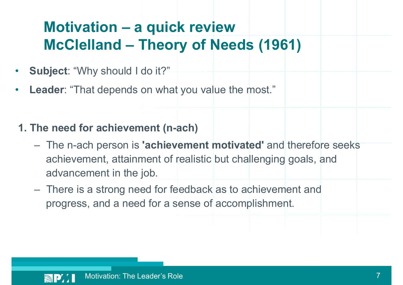## Motivation – a quick review<br>McClelland – Theory of Needs (196<sup>\*</sup> Motivation – a quick review<br>McClelland – Theory of Needs (1961)<br>bject: "Why should I do it?"

- Subject: "Why should I do it?"
- **Leader: "That depends on what you value the most."**
- 1. The need for achievement (n-ach)
- Motivation a quick review<br>
McClelland Theory of Needs (1961)<br>
Subject: "Why should I do it?"<br>
eader: "That depends on what you value the most."<br>
The need for achievement (n-ach)<br>
 The n-ach person is 'achievement mot achievement, attainment of realistic but challenging goals, and advancement in the job. Subject: "Why should I do it?"<br>
.eader: "That depends on what you value the most."<br>
The need for achievement (n-ach)<br>
— The n-ach person is "achievement motivated" and therefore seeks<br>
achievement, attainment of realistic
	- progress, and a need for a sense of accomplishment.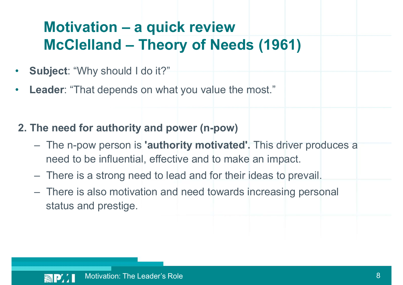## Motivation – a quick review<br>McClelland – Theory of Needs (196<sup>\*</sup> Motivation – a quick review<br>McClelland – Theory of Needs (1961)<br>bject: "Why should I do it?"

- Subject: "Why should I do it?"
- **Leader: "That depends on what you value the most."**
- 2. The need for authority and power (n-pow)
- **Motivation a quick review<br>
McClelland Theory of Needs (1961)**<br>
Subject: "Why should I do it?"<br>
eader: "That depends on what you value the most."<br>
The need for authority and power (n-pow)<br>
 The n-pow person is 'autho need to be influential, effective and to make an impact. Subject: "Why should I do it?"<br>
<br> **Example 1:** "That depends on what you value the most."<br>
<br> **The need for authority and power (n-pow)**<br>
<br>
— There is a strong need to lead and for their ideas to prevail.<br>
<br>
— There is also Subject: "Why should I do it?"<br> **Example:** "That depends on what you value the most."<br>
The need for authority and power (n-pow)<br>
- The n-pow person is "authority motivated". This driver produces a<br>
need to be influential,
	-
	- status and prestige.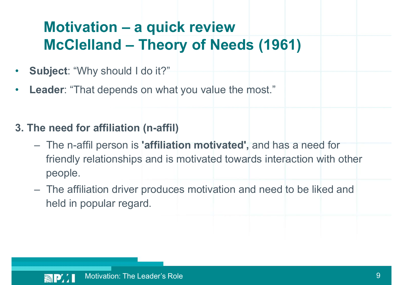## Motivation – a quick review<br>McClelland – Theory of Needs (196<sup>\*</sup> Motivation – a quick review<br>McClelland – Theory of Needs (1961)<br>bject: "Why should I do it?"

- Subject: "Why should I do it?"
- **Leader: "That depends on what you value the most."**
- 3. The need for affiliation (n-affil)
- **McClelland Theory of Needs (1961)**<br>
Subject: "Why should I do it?"<br>
eader: "That depends on what you value the most."<br>
he need for affiliation (n-affil)<br>
 The n-affil person is 'affiliation motivated', and has a need friendly relationships and is motivated towards interaction with other people. Full provide the most."<br>
Subject: "That depends on what you value the most."<br>
Are need for affiliation (n-affil)<br>
- The n-affil person is 'affiliation motivated', and has a need for<br>
friendly relationships and is motivated
	- held in popular regard.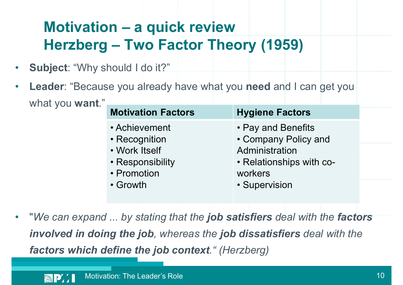## Motivation – a quick review<br>Herzberg – Two Factor Theory (195 Motivation – a quick review<br>Herzberg – Two Factor Theory (1959)<br>bject: "Why should I do it?"

- Subject: "Why should I do it?"
- Leader: "Because you already have what you need and I can get you what you **want**."

| should I do it?"                                                                   |                                                                                                     |
|------------------------------------------------------------------------------------|-----------------------------------------------------------------------------------------------------|
|                                                                                    |                                                                                                     |
|                                                                                    | use you already have what you need and I can get you                                                |
| <b>Motivation Factors</b>                                                          | <b>Hygiene Factors</b>                                                                              |
| • Achievement<br>• Recognition<br>• Work Itself<br>• Responsibility<br>• Promotion | • Pay and Benefits<br>• Company Policy and<br>Administration<br>• Relationships with co-<br>workers |

"We can expand ... by stating that the job satisfiers deal with the factors involved in doing the job, whereas the job dissatisfiers deal with the factors which define the job context." (Herzberg)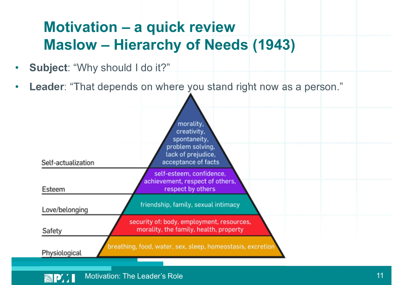## Motivation – a quick review<br>Maslow – Hierarchy of Needs (1943 Motivation – a quick review<br>Maslow – Hierarchy of Needs (1943)<br>bject: "Why should I do it?"

- Subject: "Why should I do it?"
- Leader: "That depends on where you stand right now as a person."

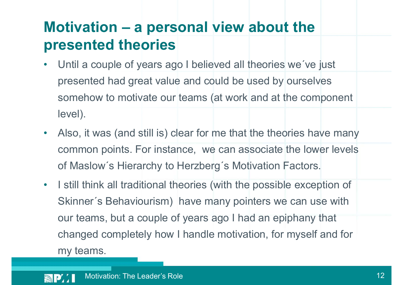### Motivation – a personal view about the<br>presented theories presented theories

- Until a couple of years ago I believed all theories we´ve just presented had great value and could be used by ourselves somehow to motivate our teams (at work and at the component level).
- Also, it was (and still is) clear for me that the theories have many common points. For instance, we can associate the lower levels of Maslow´s Hierarchy to Herzberg´s Motivation Factors.
- I still think all traditional theories (with the possible exception of Skinner´s Behaviourism) have many pointers we can use with our teams, but a couple of years ago I had an epiphany that changed completely how I handle motivation, for myself and for my teams.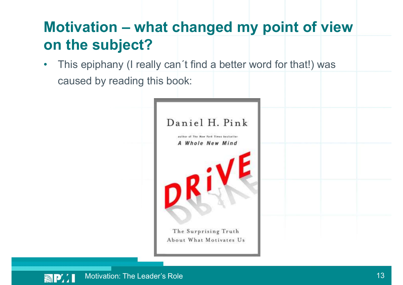### Motivation – what changed my point of view<br>on the subject? on the subject?

• This epiphany (I really can't find a better word for that!) was caused by reading this book:

| Daniel H. Pink                                              |  |
|-------------------------------------------------------------|--|
| author of The New York Times bestseller<br>A Whole New Mind |  |
|                                                             |  |
|                                                             |  |
|                                                             |  |
|                                                             |  |
| The Surprising Truth<br>About What Motivates Us             |  |

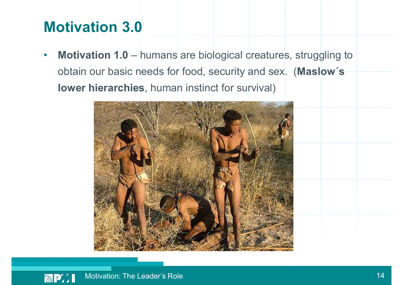### Motivation 3.0

Motivation 3.0<br>• Motivation 1.0 – humans are biological creatures, struggling to<br>obtain our basic needs for food, security and sex. (Maslow's<br>lower biorarchies, human instinct for survival) obtain our basic needs for food, security and sex. (Maslow´s lower hierarchies, human instinct for survival)



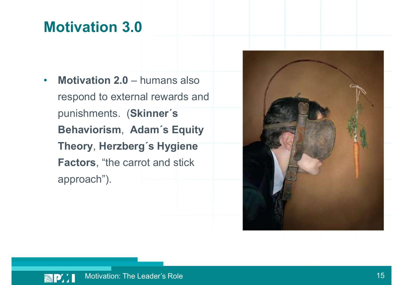### Motivation 3.0

Motivation 3.0<br>• Motivation 2.0 – humans also<br>respond to external rewards and<br>punishments (Skinner's respond to external rewards and punishments. (Skinner´s Behaviorism, Adam´s Equity Theory, Herzberg´s Hygiene Factors, "the carrot and stick approach").



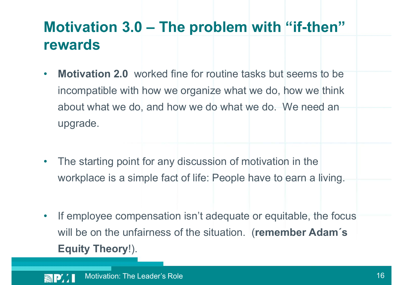### Motivation 3.0 – The problem with "if-then"<br>rewards rewards

- Motivation 2.0 worked fine for routine tasks but seems to be incompatible with how we organize what we do, how we think about what we do, and how we do what we do. We need an upgrade.
- The starting point for any discussion of motivation in the workplace is a simple fact of life: People have to earn a living.
- If employee compensation isn't adequate or equitable, the focus will be on the unfairness of the situation. (remember Adam's Equity Theory!).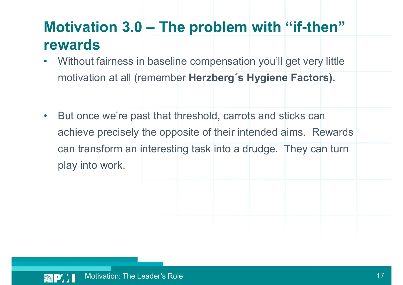### Motivation  $3.0$  – The problem with "if-then"<br>rewards<br>. Without fairness in baseline compensation you'll get very little rewards

- Without fairness in baseline compensation you'll get very little motivation at all (remember Herzberg´s Hygiene Factors).
- But once we're past that threshold, carrots and sticks can achieve precisely the opposite of their intended aims. Rewards can transform an interesting task into a drudge. They can turn play into work.

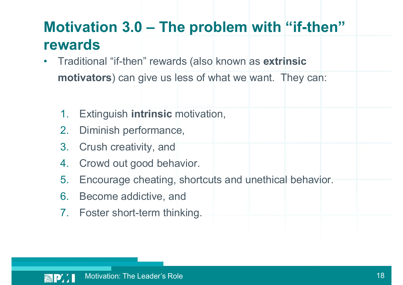### Motivation 3.0 – The problem with "if-then"<br>rewards<br>• Traditional "if-then" rewards (also known as extrinsic rewards

- Traditional "if-then" rewards (also known as extrinsic motivators) can give us less of what we want. They can:
	- 1. Extinguish intrinsic motivation,
	- 2. Diminish performance,
	- 3. Crush creativity, and
	- 4. Crowd out good behavior.
	- 5. Encourage cheating, shortcuts and unethical behavior.
	- 6. Become addictive, and
	- 7. Foster short-term thinking.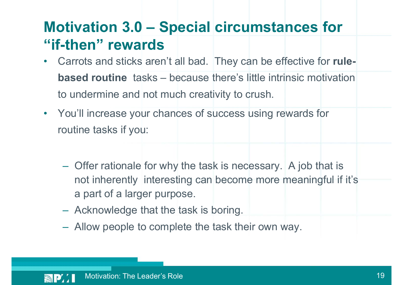### Motivation 3.0 – Special circumstances for<br>"if-then" rewards<br>• Carrots and sticks aren't all had They can be effective for rule-"if-then" rewards

- Carrots and sticks aren't all bad. They can be effective for rule**otivation 3.0 – Special circumstances for**<br>**Example:** Carrots and sticks aren't all bad. They can be effective for rule-<br>based routine tasks – because there's little intrinsic motivation<br>to undermine and not much creativi to undermine and not much creativity to crush.
- You'll increase your chances of success using rewards for
	- routine tasks if you:<br>- Offer rationale for why the task is necessary. A job that is not inherently interesting can become more meaningful if it's a part of a larger purpose.<br>
	– Acknowledge that the task is boring.<br>
	– Allow people to complete the task their own way.
		-
		-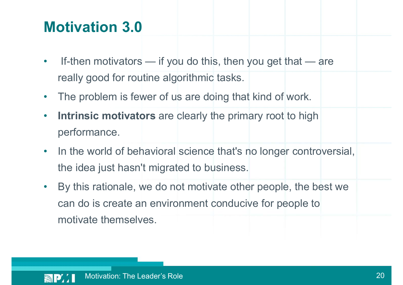### Motivation 3.0

- **Motivation 3.0**<br>• If-then motivators if you do this, then you get that are<br>really good for routine algorithmic tasks. really good for routine algorithmic tasks.
- The problem is fewer of us are doing that kind of work.
- Intrinsic motivators are clearly the primary root to high performance.
- In the world of behavioral science that's no longer controversial, the idea just hasn't migrated to business.
- By this rationale, we do not motivate other people, the best we can do is create an environment conducive for people to motivate themselves.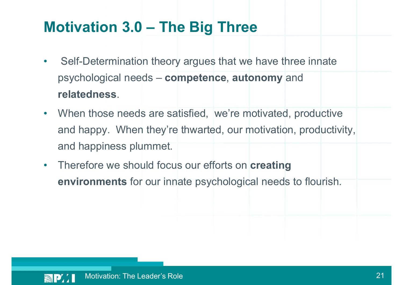# Motivation 3.0 – The Big Three<br>example theory argues that we have three innate

- Self-Determination theory argues that we have three innate psychological needs – competence, autonomy and
- relatedness.<br>
 When those needs are satisfied, we're motivated, productive and happy. When they're thwarted, our motivation, productivity, and happiness plummet.
- Therefore we should focus our efforts on creating environments for our innate psychological needs to flourish.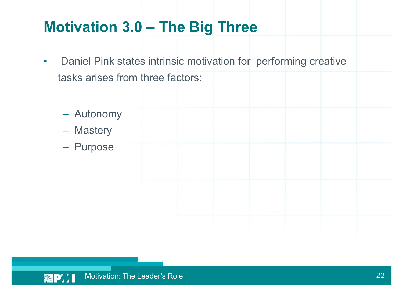# Motivation 3.0 – The Big Three<br>Papiel Pink states intrinsic motivation for performing creative

- Daniel Pink states intrinsic motivation for performing creative tasks arises from three factors:
	- Autonomy – Mastery – Purpose

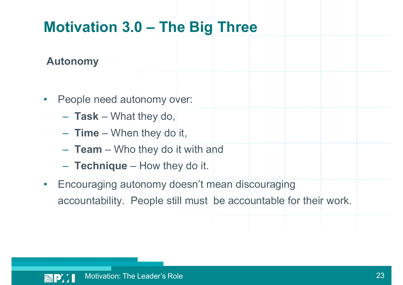### Autonomy

- -
	-
	-
	-
- **Motivation 3.0 The Big Three**<br> **•** People need autonomy over:<br>  **Task –** What they do,<br>  **Time –** When they do it,<br>  **Team –** Who they do it with and<br>  **Technique –** How they do it.<br>
 Encouraging autonomy doesn't • Encouraging autonomy doesn't mean discouraging accountability. People still must be accountable for their work.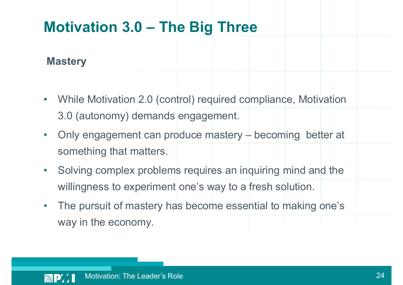### **Mastery**

- While Motivation 2.0 (control) required compliance, Motivation 3.0 (autonomy) demands engagement.
- **Motivation 3.0 The Big Three**<br> **Mastery**<br>
 While Motivation 2.0 (control) required compliance, Motivation<br>
3.0 (autonomy) demands engagement.<br>
 Only engagement can produce mastery becoming better at<br>
something that something that matters.
- Solving complex problems requires an inquiring mind and the willingness to experiment one's way to a fresh solution.
- The pursuit of mastery has become essential to making one's way in the economy.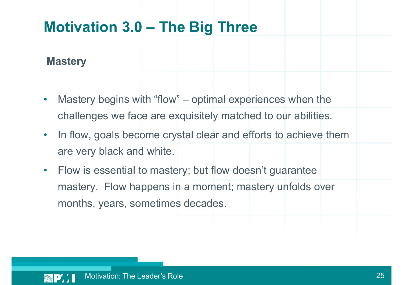**Mastery** 

- **Motivation 3.0 The Big Three**<br> **Mastery**<br>
 Mastery begins with "flow" optimal experiences when the<br>
challenges we face are exquisitely matched to our abilities. challenges we face are exquisitely matched to our abilities.
- In flow, goals become crystal clear and efforts to achieve them are very black and white.
- Flow is essential to mastery; but flow doesn't guarantee mastery. Flow happens in a moment; mastery unfolds over months, years, sometimes decades.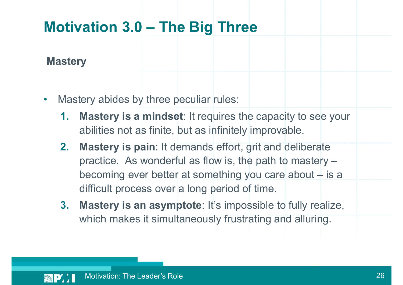### **Mastery**

- Mastery abides by three peculiar rules:
	- 1. Mastery is a mindset: It requires the capacity to see your abilities not as finite, but as infinitely improvable.
- 2. Mastery is pain: It demands effort, grit and deliberate practice. As wonderful as flow is, the path to mastery – becoming the peculiar rules:<br> **Mastery is a mindset**: It requires the capacity to see your<br>
abilities not as finite, but as infinitely improvable.<br> **Mastery is pain**: It demands effort, grit and deliberate<br>
practice. As wo difficult process over a long period of time.
	- 3. Mastery is an asymptote: It's impossible to fully realize, which makes it simultaneously frustrating and alluring.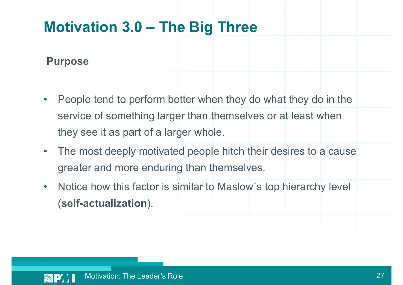### Purpose

- People tend to perform better when they do what they do in the service of something larger than themselves or at least when they see it as part of a larger whole.
- The most deeply motivated people hitch their desires to a cause greater and more enduring than themselves.
- Notice how this factor is similar to Maslow's top hierarchy level (self-actualization).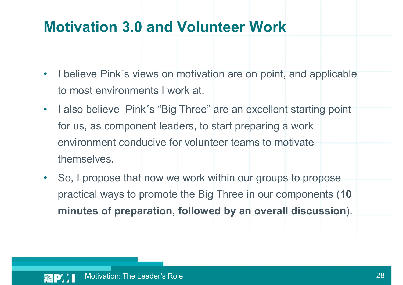### Motivation 3.0 and Volunteer Work

- I believe Pink's views on motivation are on point, and applicable to most environments I work at.
- I also believe Pink's "Big Three" are an excellent starting point for us, as component leaders, to start preparing a work environment conducive for volunteer teams to motivate themselves.
- So, I propose that now we work within our groups to propose practical ways to promote the Big Three in our components (10 minutes of preparation, followed by an overall discussion).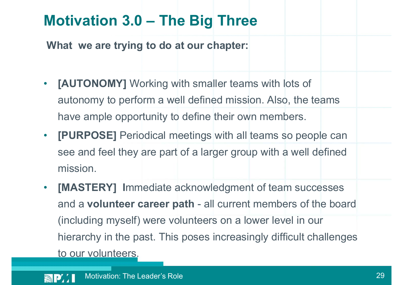# Motivation 3.0 – The Big Three<br>What we are trying to do at our chapter:

What we are trying to do at our chapter:

- [AUTONOMY] Working with smaller teams with lots of autonomy to perform a well defined mission. Also, the teams have ample opportunity to define their own members.
- **[PURPOSE]** Periodical meetings with all teams so people can see and feel they are part of a larger group with a well defined mission.
- [MASTERY] Immediate acknowledgment of team successes [AUTONOMY] Working with smaller teams with lots of<br>autonomy to perform a well defined mission. Also, the teams<br>have ample opportunity to define their own members.<br>[PURPOSE] Periodical meetings with all teams so people can<br> (including myself) were volunteers on a lower level in our hierarchy in the past. This poses increasingly difficult challenges to our volunteers.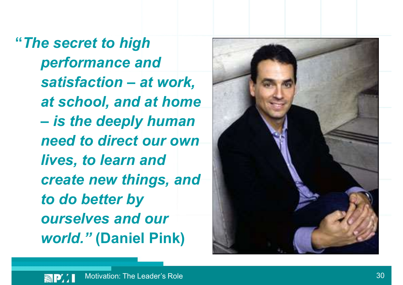"The secret to high performance and e secret to high<br>performance and<br>satisfaction – at work,<br>at school, and at home at school, and at home e secret to high<br>performance and<br>satisfaction – at work,<br>at school, and at home<br>– is the deeply human<br>need to direct our own need to direct our own lives, to learn and create new things, and to do better by ourselves and our world." (Daniel Pink)

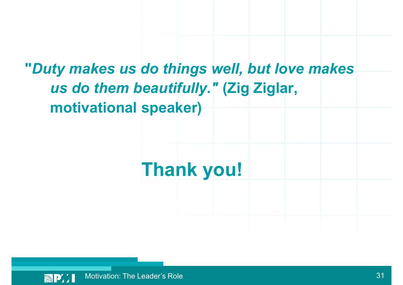